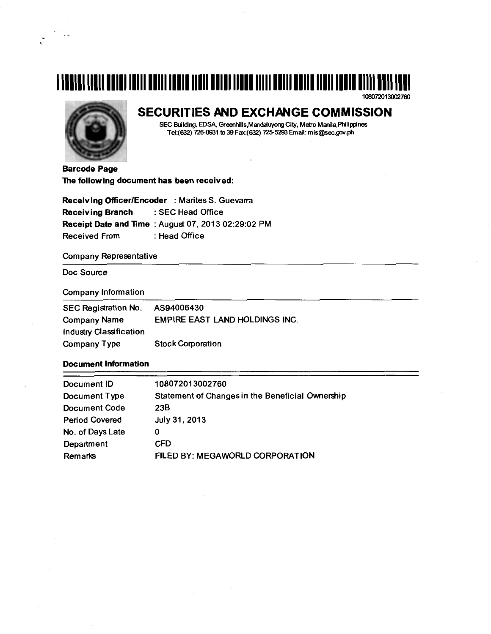## **1111111111111111111111111111111111111111111111111111111111111111111111111111111111111**  108072013002760



# **SECURITIES AND EXCHANGE COMMISSION**

SEC Building, EDSA, Greenhills,Mandaluyong City, Metro Maila,Philippines Tel:(632) 726-0931 to 39 Fax:(632) 725-5293 Email: mis@sec.gov.ph

Barcode Page The following document has been received:

Receiving Officer/Encoder : Marites S. Guevarra Receiving Branch : SEC Head Office Receipt Date and Time : August 07, 2013 02:29:02 PM Received From : Head Office

Company Representative

Doc Source

#### Company Information

| SEC Registration No.    | AS94006430                            |
|-------------------------|---------------------------------------|
| <b>Company Name</b>     | <b>EMPIRE EAST LAND HOLDINGS INC.</b> |
| Industry Classification |                                       |
| Company Type            | <b>Stock Corporation</b>              |

### Document Information

| Document ID           | 108072013002760                                  |
|-----------------------|--------------------------------------------------|
| Document Type         | Statement of Changes in the Beneficial Ownership |
| <b>Document Code</b>  | 23B                                              |
| <b>Period Covered</b> | July 31, 2013                                    |
| No. of Days Late      | 0                                                |
| Department            | CFD                                              |
| Remarks               | FILED BY: MEGAWORLD CORPORATION                  |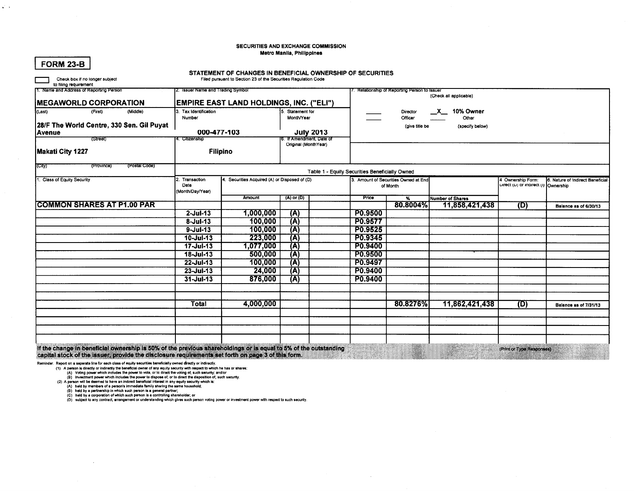#### SECURITIES AND EXCHANGE COMMISSION Metro Manila, Philippines

| Check box if no longer subject<br>to filing requirement                                                                                                                                                               |                                                | STATEMENT OF CHANGES IN BENEFICIAL OWNERSHIP OF SECURITIES<br>Filed pursuant to Section 23 of the Securities Regulation Code |                                                                   |                                                  |                                                |                        |                                                           |                                  |                       |  |  |  |
|-----------------------------------------------------------------------------------------------------------------------------------------------------------------------------------------------------------------------|------------------------------------------------|------------------------------------------------------------------------------------------------------------------------------|-------------------------------------------------------------------|--------------------------------------------------|------------------------------------------------|------------------------|-----------------------------------------------------------|----------------------------------|-----------------------|--|--|--|
| 1. Name and Address of Reporting Person                                                                                                                                                                               | Issuer Name and Trading Symbol                 |                                                                                                                              |                                                                   |                                                  | Relationship of Reporting Person to Issuer     |                        |                                                           |                                  |                       |  |  |  |
| <b>MEGAWORLD CORPORATION</b>                                                                                                                                                                                          | <b>EMPIRE EAST LAND HOLDINGS, INC. ("ELI")</b> |                                                                                                                              |                                                                   |                                                  |                                                | (Check all applicable) |                                                           |                                  |                       |  |  |  |
| (Last)<br>(First)<br>(Middle)                                                                                                                                                                                         | Tax identification<br>Number                   |                                                                                                                              | Statement for<br>Month/Year                                       |                                                  |                                                | Director<br>Officer    | 10% Owner<br>X.<br>Other                                  |                                  |                       |  |  |  |
| 28/F The World Centre, 330 Sen. Gil Puyat<br>Avenue                                                                                                                                                                   | 000-477-103<br>4. Citizenship<br>Filipino      |                                                                                                                              | <b>July 2013</b><br>If Amendment, Date of<br>Original (MonthYear) |                                                  | (give title be<br>(specify below)              |                        |                                                           |                                  |                       |  |  |  |
| (Street)<br>Makati City 1227                                                                                                                                                                                          |                                                |                                                                                                                              |                                                                   |                                                  |                                                |                        |                                                           |                                  |                       |  |  |  |
| (Postal Code)<br>(City)<br>(Province)                                                                                                                                                                                 |                                                |                                                                                                                              |                                                                   |                                                  | Table 1 - Equity Securities Beneficially Owned |                        |                                                           |                                  |                       |  |  |  |
| Class of Equity Security                                                                                                                                                                                              | Transaction<br>Date<br>(Month/Day/Year)        | 4. Securities Acquired (A) or Disposed of (D)                                                                                |                                                                   | 3. Amount of Securities Owned at End<br>of Month |                                                |                        | 4 Ownership Form:<br>Lurect (L) or indirect (I) Ownership | 6. Nature of Indirect Beneficial |                       |  |  |  |
|                                                                                                                                                                                                                       |                                                | Amount                                                                                                                       | $(A)$ or $(D)$                                                    |                                                  | Price                                          | $\gamma$               | <b>Number of Shares</b>                                   |                                  |                       |  |  |  |
| <b>COMMON SHARES AT P1.00 PAR</b>                                                                                                                                                                                     |                                                |                                                                                                                              |                                                                   |                                                  |                                                | 80.8004%               | 11,858,421,438                                            | (D)                              | Balance as of 6/30/13 |  |  |  |
|                                                                                                                                                                                                                       | $2$ -Jul-13                                    | 1,000,000                                                                                                                    | (A)                                                               |                                                  | P0.9500                                        |                        |                                                           |                                  |                       |  |  |  |
|                                                                                                                                                                                                                       | $8 -$ Jul-13                                   | 100,000                                                                                                                      | (A)                                                               |                                                  | P0.9577                                        |                        |                                                           |                                  |                       |  |  |  |
|                                                                                                                                                                                                                       | $9 -$ Jul-13                                   | 100,000                                                                                                                      | $\overline{(A)}$                                                  |                                                  | P0.9525                                        |                        |                                                           |                                  |                       |  |  |  |
|                                                                                                                                                                                                                       | $10 -$ Jul-13                                  | 223,000                                                                                                                      | $\overline{(\mathsf{A})}$                                         |                                                  | P0.9345                                        |                        |                                                           |                                  |                       |  |  |  |
|                                                                                                                                                                                                                       | 17-Jul-13                                      | 1,077,000                                                                                                                    | (A)                                                               |                                                  | P0.9400                                        |                        |                                                           |                                  |                       |  |  |  |
|                                                                                                                                                                                                                       | 18-Jul-13                                      | 500,000                                                                                                                      | (A)                                                               |                                                  | P0.9500                                        |                        |                                                           |                                  |                       |  |  |  |
|                                                                                                                                                                                                                       | $22 -$ Jul-13                                  | 100,000                                                                                                                      | $\overline{\textsf{(A)}}$                                         |                                                  | P0.9497                                        |                        |                                                           |                                  |                       |  |  |  |
|                                                                                                                                                                                                                       | $23 -$ Jul-13                                  | 24,000                                                                                                                       | (A)                                                               |                                                  | P0.9400                                        |                        |                                                           |                                  |                       |  |  |  |
|                                                                                                                                                                                                                       | 31-Jul-13                                      | 876,000                                                                                                                      | (A)                                                               |                                                  | P0.9400                                        |                        |                                                           |                                  |                       |  |  |  |
|                                                                                                                                                                                                                       |                                                |                                                                                                                              |                                                                   |                                                  |                                                |                        |                                                           |                                  |                       |  |  |  |
|                                                                                                                                                                                                                       | <b>Total</b>                                   | 4,000,000                                                                                                                    |                                                                   |                                                  |                                                | 80.8276%               | 11,862,421,438                                            | (D)                              | Balance as of 7/31/13 |  |  |  |
|                                                                                                                                                                                                                       |                                                |                                                                                                                              |                                                                   |                                                  |                                                |                        |                                                           |                                  |                       |  |  |  |
|                                                                                                                                                                                                                       |                                                |                                                                                                                              |                                                                   |                                                  |                                                |                        |                                                           |                                  |                       |  |  |  |
|                                                                                                                                                                                                                       |                                                |                                                                                                                              |                                                                   |                                                  |                                                |                        |                                                           |                                  |                       |  |  |  |
| If the change in beneficial ownership is 50% of the previous shareholdings or is equal to 5% of the outstanding<br>capital stock of the issuer, provide the disclosure requirements set forth on page 3 of this form. |                                                |                                                                                                                              |                                                                   |                                                  |                                                |                        |                                                           | (Print or Type Responses)        |                       |  |  |  |

 $\sim$  10  $\,$ 

Reminder. Report on a separate line for each class of equity securities beneficially owned directly or indirectly.

**FORM 23-B** 

 $\omega^2 \rightarrow$ 

(1) A person is directly or inclinedly the beneficial owner of any equity security with respect to which he has or shares:<br>
(8) Investment power which includes the power to otie, or to direct the voing of, such security, a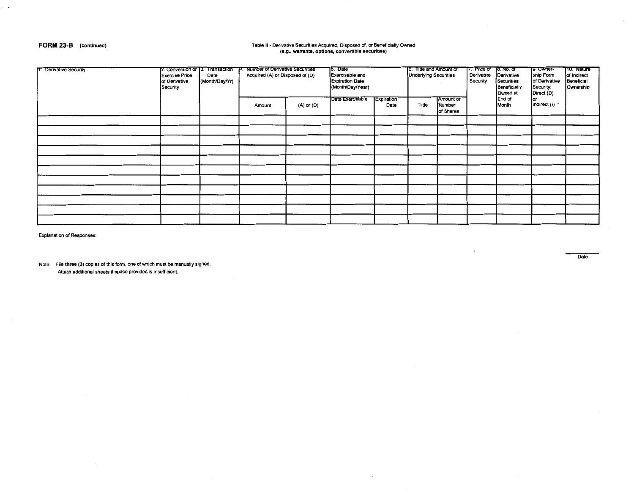#### FORM 23-B (continued)

 $\sim$   $\sim$ 

#### Table II - Derivative Securities Acquired, Disposed of, or Beneficially Owned (e.g., warrants, options, convertible securities)

| 1. Derivative Security | 2. Conversion or 13.<br><b>Exercise Price</b><br>of Derivative<br>Security | Transaction<br>Date<br>(Month/Day/Yr) | 14. Number of Derivative Securities<br>Acquired (A) or Disposed of (D) |            | 15. Date<br>Exercisable and<br><b>Expiration Date</b><br>(Month/Day/Year) |                    | 16. Title and Amount of<br><b>Underlying Securities</b> |                                  | 7. Price of<br>Derivative<br>Security | $ 8.$ No. of<br>Derivative<br>Securities<br>Beneficially<br>Owned at | 19. Owner-<br>ship Form<br>of Derivative<br>Security;<br>Direct (D) | 10. Nature<br>of Indirect<br>Beneficial<br>Ownership |
|------------------------|----------------------------------------------------------------------------|---------------------------------------|------------------------------------------------------------------------|------------|---------------------------------------------------------------------------|--------------------|---------------------------------------------------------|----------------------------------|---------------------------------------|----------------------------------------------------------------------|---------------------------------------------------------------------|------------------------------------------------------|
|                        |                                                                            |                                       | Amount                                                                 | (A) or (D) | Date Exercisable                                                          | Expiration<br>Date | Title                                                   | Amount or<br>Number<br>of Shares |                                       | End of<br>Month                                                      | lor<br>inairect (i) -                                               |                                                      |
|                        |                                                                            |                                       |                                                                        |            |                                                                           |                    |                                                         |                                  |                                       |                                                                      |                                                                     |                                                      |
|                        |                                                                            |                                       |                                                                        |            |                                                                           |                    |                                                         |                                  |                                       |                                                                      |                                                                     |                                                      |
|                        |                                                                            |                                       |                                                                        |            |                                                                           |                    |                                                         |                                  |                                       |                                                                      |                                                                     |                                                      |
|                        |                                                                            |                                       |                                                                        |            |                                                                           |                    |                                                         |                                  |                                       |                                                                      |                                                                     |                                                      |
|                        |                                                                            |                                       |                                                                        |            |                                                                           |                    |                                                         |                                  |                                       |                                                                      |                                                                     |                                                      |
|                        |                                                                            |                                       |                                                                        |            |                                                                           |                    |                                                         |                                  |                                       |                                                                      |                                                                     |                                                      |
|                        |                                                                            |                                       |                                                                        |            |                                                                           |                    |                                                         |                                  |                                       |                                                                      |                                                                     |                                                      |
|                        |                                                                            |                                       |                                                                        |            |                                                                           |                    |                                                         |                                  |                                       |                                                                      |                                                                     |                                                      |
|                        |                                                                            |                                       |                                                                        |            |                                                                           |                    |                                                         |                                  |                                       |                                                                      |                                                                     |                                                      |
|                        |                                                                            |                                       |                                                                        |            |                                                                           |                    |                                                         |                                  |                                       |                                                                      |                                                                     |                                                      |
|                        |                                                                            |                                       |                                                                        |            |                                                                           |                    |                                                         |                                  |                                       |                                                                      |                                                                     |                                                      |

Explanation of Responses:

 $\sim$ 

Note: File three (3) copies of this form, one of which must be manually signed. Attach additional sheets if space provided is insufficient.

Date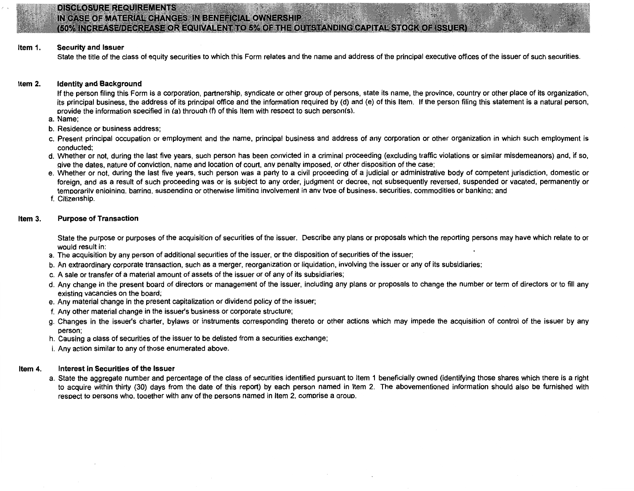## **DISCLOSURE REQUIREMENTS** IN CASE OF MATERIAL CHANGES IN BENEFICIAL OWNERSHIP

### (50% INCREASE/DECREASE OR EQUIVALENT TO 5% OF THE OUTSTANDING CAPITAL STOCK OF ISSUER)

#### Item 1. Security and Issuer

State the title of the class of equity securities to which this Form relates and the name and address of the principal executive offices of the issuer of such securities.

 $\mathcal{L}_{\mathbf{t}}(s)$  $531$ 

#### Item 2. Identity and Background

If the person filing this Form is a corporation, partnership, syndicate or other group of persons, state its name, the province, country or other place of its organization, its principal business, the address of its principal office and the information required by (d) and (e) of this Item. If the person filing this statement is a natural person, orovide the information soecified in (a) throuah *(f)* of this Item with resoect to such oerson(s).

- a. Name;
- b. Residence or business address;
- c. Present principal occupation or employment and the name, principal business and address of any corporation or other organization in which such employment is conducted;
- d. Whether or not, during the last five years, such person has been convicted in a criminal proceeding (excluding traffic violations or similar misdemeanors) and, if so, give the dates, nature of conviction, name and location of court, any penalty imposed, or other disposition of the case;
- e. Whether or not, during the last five years, such person was a party to a civil proceeding of a judicial or administrative body of competent jurisdiction, domestic or foreign, and as a result of such proceeding was or is subject to any order, judgment or decree, not subsequently reversed, suspended or vacated, permanently or temoorarilv enioinina. barrina. susoendina or otherwise limitina involvement in anv tvoe of business. securities. commodities or bankina: and
- f. Citizenship.

#### Item 3. Purpose of Transaction

State the purpose or purposes of the acquisition of securities of the issuer. Describe any plans or proposals which the reporting persons may have which relate to or would result in:

- a. The acquisition by any person of additional securities of the issuer, or the disposition of securities of the issuer;
- b. An extraordinary corporate transaction, such as a merger, reorganization or liquidation, involving the issuer or any of its subsidiaries;
- c. A sale or transfer of a material amount of assets of the issuer or of any of its subsidiaries;
- d. Any change in the present board of directors or management of the issuer, including any plans or proposals to change the number or term of directors or to fill any existing vacancies on the board;
- e. Any material change in the present capitalization or dividend policy of the issuer;
- f. Any other material change in the issuer's business or corporate structure;
- g. Changes in the issuer's charter, bylaws or instruments corresponding thereto or other actions which may impede the acquisition of control of the issuer by any person;
- h. Causing a class of securities of the issuer to be delisted from a securities exchange;
- i. Any action similar to any of those enumerated above.

#### Item 4. Interest in Securities of the Issuer

 a. State the aggregate number and percentage of the class of securities identified pursuant to Item 1 beneficially owned {identifying those shares which there is a right to acquire within thirty (30) days from the date of this report) by each person named in Item 2. The abovementioned information should also be furnished with resoect to oersons who. toaether with anv of the oersons named in Item 2. comorise a arouo.